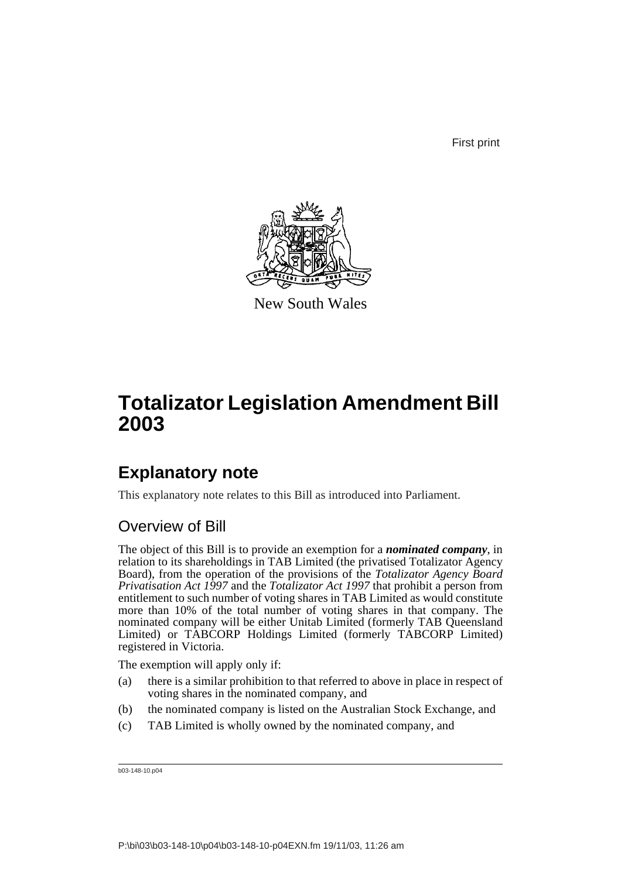First print



New South Wales

# **Totalizator Legislation Amendment Bill 2003**

## **Explanatory note**

This explanatory note relates to this Bill as introduced into Parliament.

## Overview of Bill

The object of this Bill is to provide an exemption for a *nominated company*, in relation to its shareholdings in TAB Limited (the privatised Totalizator Agency Board), from the operation of the provisions of the *Totalizator Agency Board Privatisation Act 1997* and the *Totalizator Act 1997* that prohibit a person from entitlement to such number of voting shares in TAB Limited as would constitute more than 10% of the total number of voting shares in that company. The nominated company will be either Unitab Limited (formerly TAB Queensland Limited) or TABCORP Holdings Limited (formerly TABCORP Limited) registered in Victoria.

The exemption will apply only if:

- (a) there is a similar prohibition to that referred to above in place in respect of voting shares in the nominated company, and
- (b) the nominated company is listed on the Australian Stock Exchange, and
- (c) TAB Limited is wholly owned by the nominated company, and

b03-148-10.p04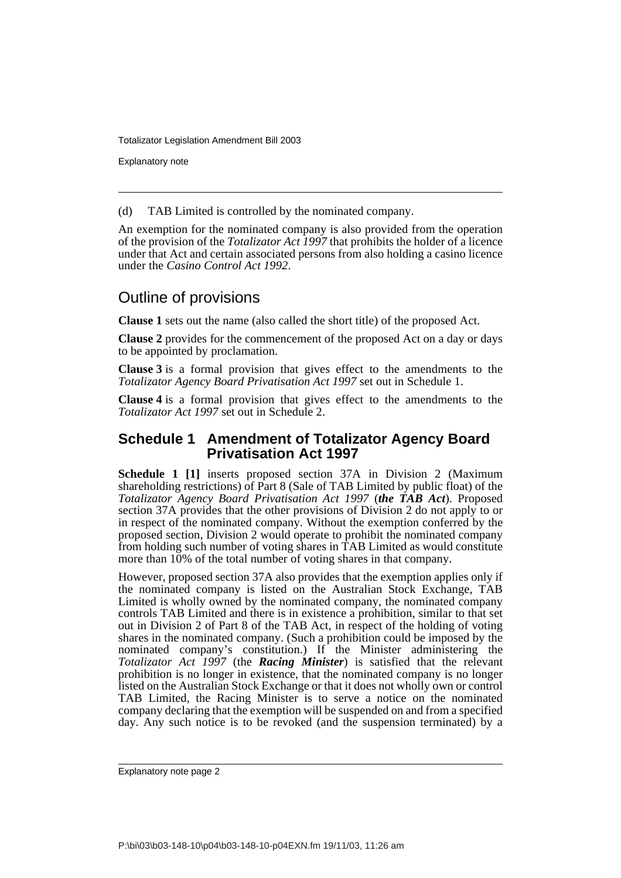Explanatory note

(d) TAB Limited is controlled by the nominated company.

An exemption for the nominated company is also provided from the operation of the provision of the *Totalizator Act 1997* that prohibits the holder of a licence under that Act and certain associated persons from also holding a casino licence under the *Casino Control Act 1992*.

### Outline of provisions

**Clause 1** sets out the name (also called the short title) of the proposed Act.

**Clause 2** provides for the commencement of the proposed Act on a day or days to be appointed by proclamation.

**Clause 3** is a formal provision that gives effect to the amendments to the *Totalizator Agency Board Privatisation Act 1997* set out in Schedule 1.

**Clause 4** is a formal provision that gives effect to the amendments to the *Totalizator Act 1997* set out in Schedule 2.

#### **Schedule 1 Amendment of Totalizator Agency Board Privatisation Act 1997**

**Schedule 1 [1]** inserts proposed section 37A in Division 2 (Maximum shareholding restrictions) of Part 8 (Sale of TAB Limited by public float) of the *Totalizator Agency Board Privatisation Act 1997* (*the TAB Act*). Proposed section 37A provides that the other provisions of Division 2 do not apply to or in respect of the nominated company. Without the exemption conferred by the proposed section, Division 2 would operate to prohibit the nominated company from holding such number of voting shares in TAB Limited as would constitute more than 10% of the total number of voting shares in that company.

However, proposed section 37A also provides that the exemption applies only if the nominated company is listed on the Australian Stock Exchange, TAB Limited is wholly owned by the nominated company, the nominated company controls TAB Limited and there is in existence a prohibition, similar to that set out in Division 2 of Part 8 of the TAB Act, in respect of the holding of voting shares in the nominated company. (Such a prohibition could be imposed by the nominated company's constitution.) If the Minister administering the *Totalizator Act 1997* (the *Racing Minister*) is satisfied that the relevant prohibition is no longer in existence, that the nominated company is no longer listed on the Australian Stock Exchange or that it does not wholly own or control TAB Limited, the Racing Minister is to serve a notice on the nominated company declaring that the exemption will be suspended on and from a specified day. Any such notice is to be revoked (and the suspension terminated) by a

Explanatory note page 2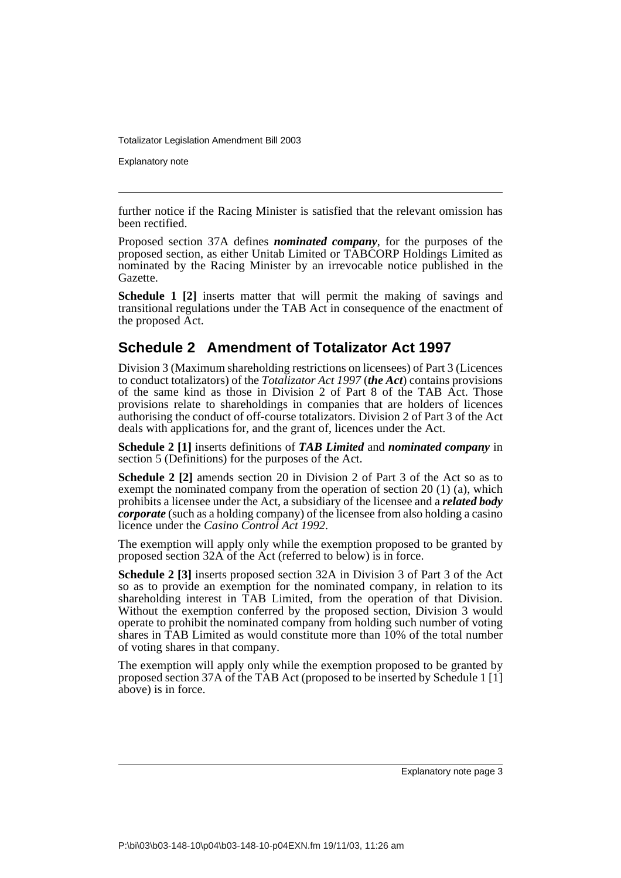Explanatory note

further notice if the Racing Minister is satisfied that the relevant omission has been rectified.

Proposed section 37A defines *nominated company*, for the purposes of the proposed section, as either Unitab Limited or TABCORP Holdings Limited as nominated by the Racing Minister by an irrevocable notice published in the Gazette.

**Schedule 1 [2]** inserts matter that will permit the making of savings and transitional regulations under the TAB Act in consequence of the enactment of the proposed Act.

### **Schedule 2 Amendment of Totalizator Act 1997**

Division 3 (Maximum shareholding restrictions on licensees) of Part 3 (Licences to conduct totalizators) of the *Totalizator Act 1997* (*the Act*) contains provisions of the same kind as those in Division 2 of Part 8 of the TAB Act. Those provisions relate to shareholdings in companies that are holders of licences authorising the conduct of off-course totalizators. Division 2 of Part 3 of the Act deals with applications for, and the grant of, licences under the Act.

**Schedule 2 [1]** inserts definitions of *TAB Limited* and *nominated company* in section 5 (Definitions) for the purposes of the Act.

**Schedule 2 [2]** amends section 20 in Division 2 of Part 3 of the Act so as to exempt the nominated company from the operation of section 20 (1) (a), which prohibits a licensee under the Act, a subsidiary of the licensee and a *related body corporate* (such as a holding company) of the licensee from also holding a casino licence under the *Casino Control Act 1992*.

The exemption will apply only while the exemption proposed to be granted by proposed section 32A of the Act (referred to below) is in force.

**Schedule 2 [3]** inserts proposed section 32A in Division 3 of Part 3 of the Act so as to provide an exemption for the nominated company, in relation to its shareholding interest in TAB Limited, from the operation of that Division. Without the exemption conferred by the proposed section, Division 3 would operate to prohibit the nominated company from holding such number of voting shares in TAB Limited as would constitute more than 10% of the total number of voting shares in that company.

The exemption will apply only while the exemption proposed to be granted by proposed section 37A of the TAB Act (proposed to be inserted by Schedule 1 [1] above) is in force.

Explanatory note page 3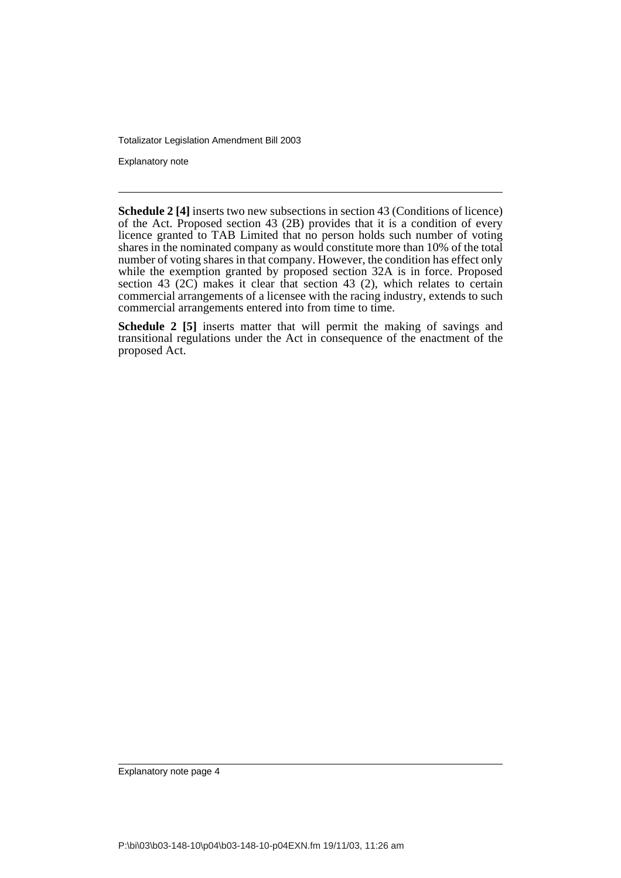Explanatory note

**Schedule 2 [4]** inserts two new subsections in section 43 (Conditions of licence) of the Act. Proposed section 43 (2B) provides that it is a condition of every licence granted to TAB Limited that no person holds such number of voting shares in the nominated company as would constitute more than 10% of the total number of voting shares in that company. However, the condition has effect only while the exemption granted by proposed section 32A is in force. Proposed section 43  $(2C)$  makes it clear that section 43  $(2)$ , which relates to certain commercial arrangements of a licensee with the racing industry, extends to such commercial arrangements entered into from time to time.

**Schedule 2 [5]** inserts matter that will permit the making of savings and transitional regulations under the Act in consequence of the enactment of the proposed Act.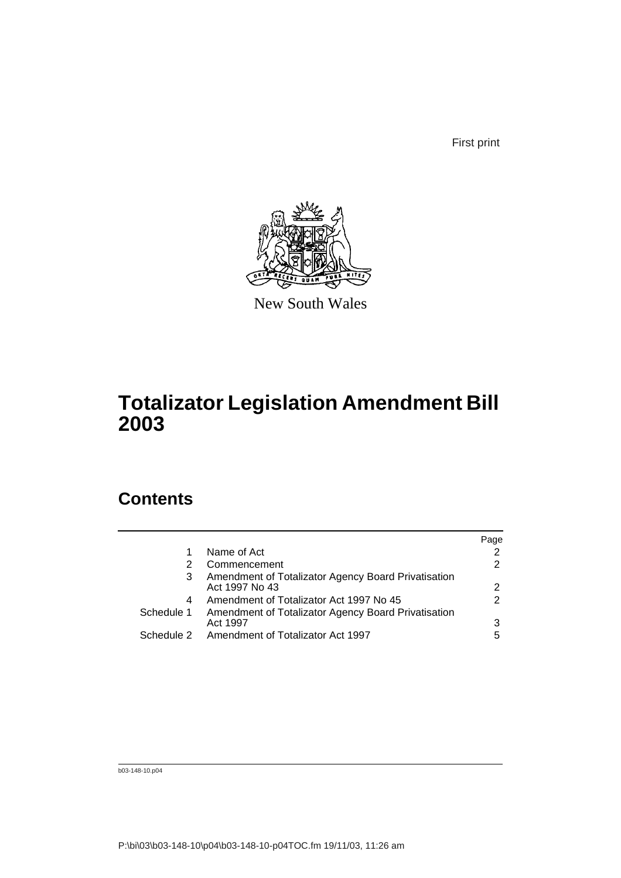First print



New South Wales

# **Totalizator Legislation Amendment Bill 2003**

## **Contents**

|            |                                                                       | Page          |
|------------|-----------------------------------------------------------------------|---------------|
|            | Name of Act                                                           | 2             |
| 2          | Commencement                                                          | 2             |
| 3          | Amendment of Totalizator Agency Board Privatisation<br>Act 1997 No 43 | 2             |
| 4          | Amendment of Totalizator Act 1997 No 45                               | $\mathcal{P}$ |
| Schedule 1 | Amendment of Totalizator Agency Board Privatisation<br>Act 1997       | 3             |
| Schedule 2 | Amendment of Totalizator Act 1997                                     | 5             |

b03-148-10.p04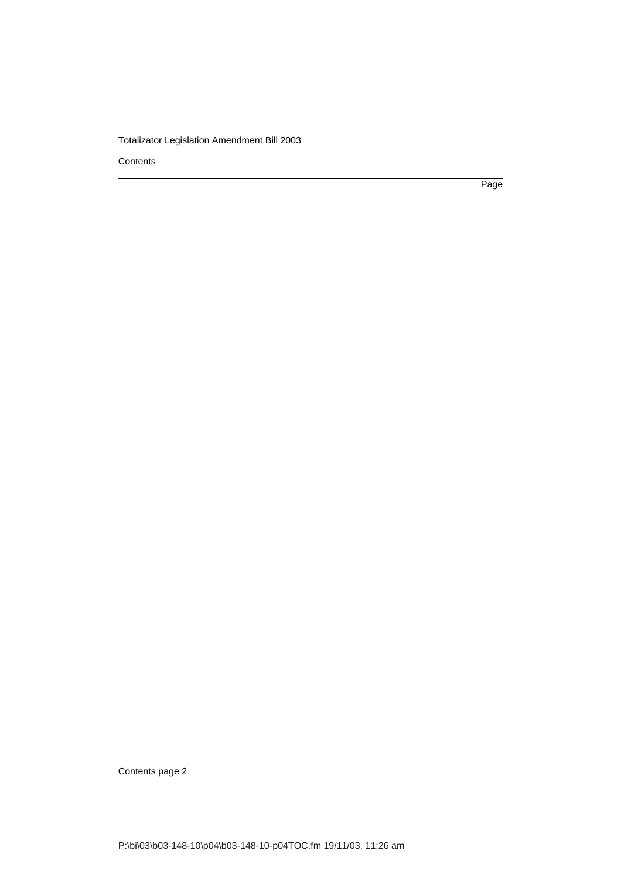**Contents** 

Page

Contents page 2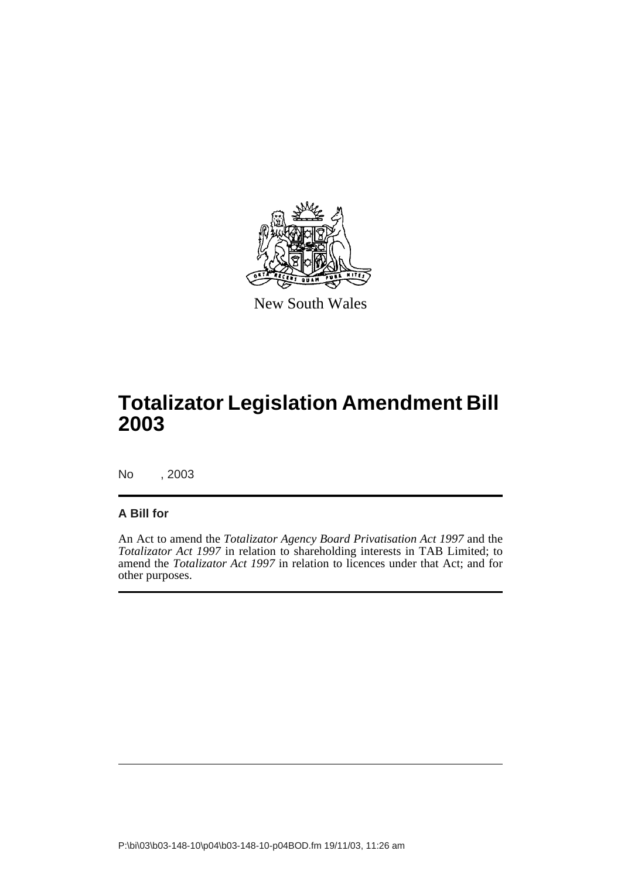

New South Wales

# **Totalizator Legislation Amendment Bill 2003**

No , 2003

#### **A Bill for**

An Act to amend the *Totalizator Agency Board Privatisation Act 1997* and the *Totalizator Act 1997* in relation to shareholding interests in TAB Limited; to amend the *Totalizator Act 1997* in relation to licences under that Act; and for other purposes.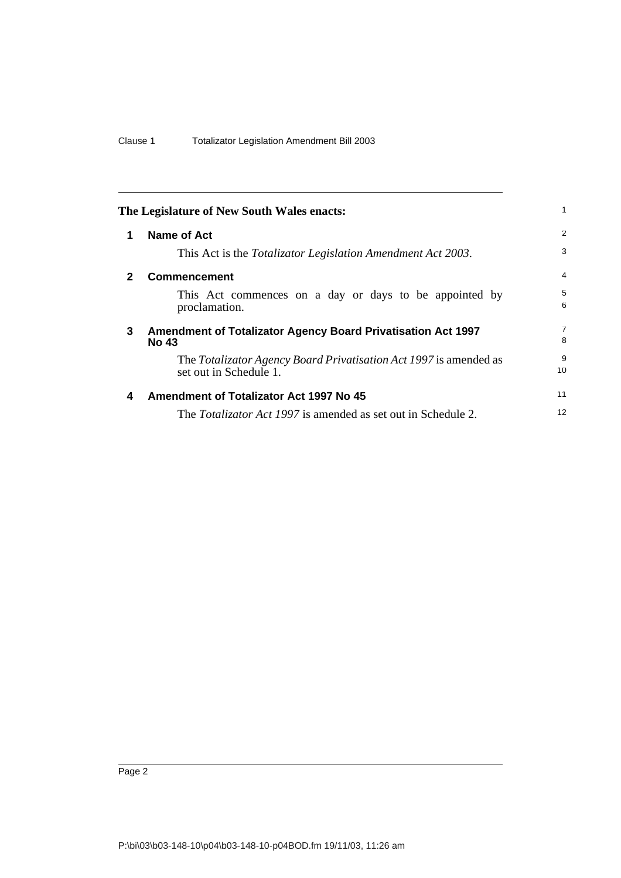| The Legislature of New South Wales enacts: |                                                                                             |                     |
|--------------------------------------------|---------------------------------------------------------------------------------------------|---------------------|
| 1                                          | Name of Act                                                                                 | 2                   |
|                                            | This Act is the <i>Totalizator Legislation Amendment Act 2003</i> .                         | 3                   |
| $\mathbf{2}$                               | <b>Commencement</b>                                                                         | $\overline{4}$      |
|                                            | This Act commences on a day or days to be appointed by<br>proclamation.                     | 5<br>6              |
| 3                                          | Amendment of Totalizator Agency Board Privatisation Act 1997<br><b>No 43</b>                | $\overline{7}$<br>8 |
|                                            | The Totalizator Agency Board Privatisation Act 1997 is amended as<br>set out in Schedule 1. | 9<br>10             |
| 4                                          | <b>Amendment of Totalizator Act 1997 No 45</b>                                              | 11                  |
|                                            | The <i>Totalizator Act 1997</i> is amended as set out in Schedule 2.                        | 12                  |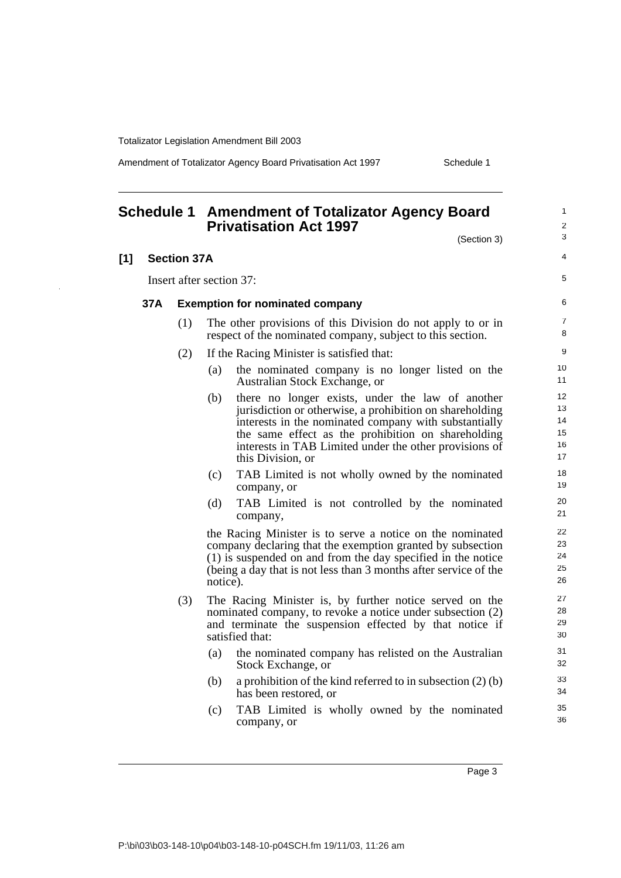Amendment of Totalizator Agency Board Privatisation Act 1997 Schedule 1

#### **Schedule 1 Amendment of Totalizator Agency Board Privatisation Act 1997** (Section 3) **[1] Section 37A** Insert after section 37: **37A Exemption for nominated company** (1) The other provisions of this Division do not apply to or in respect of the nominated company, subject to this section. (2) If the Racing Minister is satisfied that: (a) the nominated company is no longer listed on the Australian Stock Exchange, or (b) there no longer exists, under the law of another jurisdiction or otherwise, a prohibition on shareholding interests in the nominated company with substantially the same effect as the prohibition on shareholding interests in TAB Limited under the other provisions of this Division, or (c) TAB Limited is not wholly owned by the nominated company, or (d) TAB Limited is not controlled by the nominated company, the Racing Minister is to serve a notice on the nominated company declaring that the exemption granted by subsection (1) is suspended on and from the day specified in the notice (being a day that is not less than 3 months after service of the notice). (3) The Racing Minister is, by further notice served on the nominated company, to revoke a notice under subsection (2) and terminate the suspension effected by that notice if satisfied that: (a) the nominated company has relisted on the Australian Stock Exchange, or (b) a prohibition of the kind referred to in subsection (2) (b) has been restored, or (c) TAB Limited is wholly owned by the nominated company, or 1  $\mathfrak{p}$ 3 4 5 6 7 8 9 10 11 12 13 14 15 16 17 18 19 20 21 22 23 24 25 26 27 28 29 30 31 32 33 34 35 36

Page 3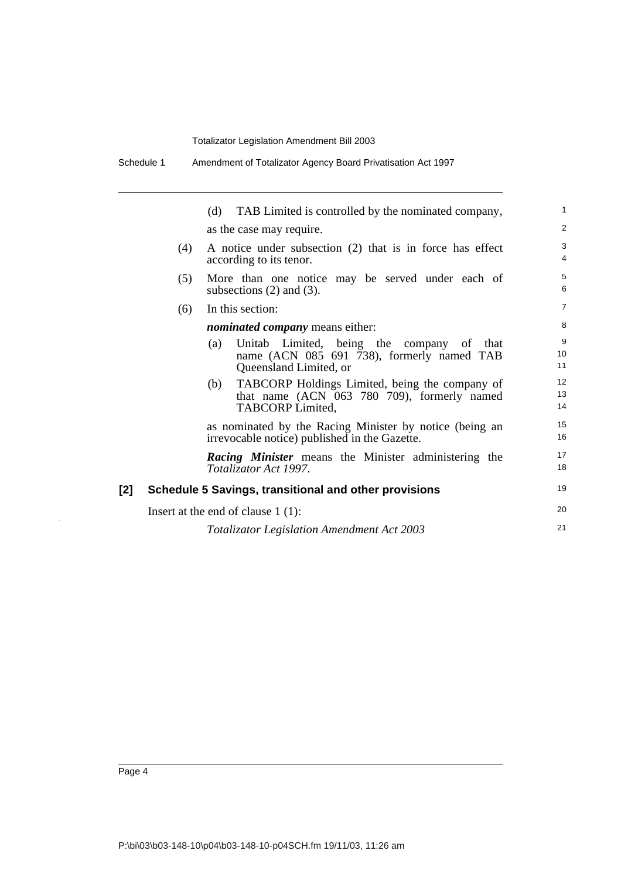(d) TAB Limited is controlled by the nominated company, as the case may require. (4) A notice under subsection (2) that is in force has effect according to its tenor. (5) More than one notice may be served under each of subsections (2) and (3). (6) In this section: *nominated company* means either: (a) Unitab Limited, being the company of that name (ACN 085 691 738), formerly named TAB Queensland Limited, or (b) TABCORP Holdings Limited, being the company of that name (ACN 063 780 709), formerly named TABCORP Limited, as nominated by the Racing Minister by notice (being an irrevocable notice) published in the Gazette. *Racing Minister* means the Minister administering the *Totalizator Act 1997*. **[2] Schedule 5 Savings, transitional and other provisions** Insert at the end of clause 1 (1): *Totalizator Legislation Amendment Act 2003* 1  $\overline{2}$ 3 4 5 6 7 8 9 10 11 12 13 14 15 16 17 18 19 20 21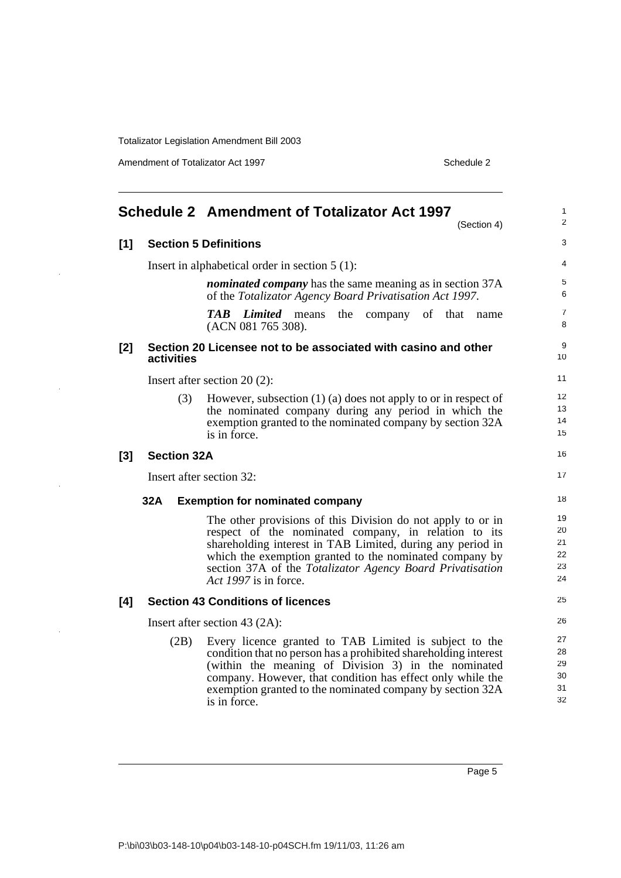Amendment of Totalizator Act 1997 Schedule 2

 $\frac{1}{2}$ 

 $\hat{\mathcal{A}}$ 

 $\bar{\mathcal{A}}$ 

 $\hat{\boldsymbol{\beta}}$ 

|     |                               | <b>Schedule 2 Amendment of Totalizator Act 1997</b><br>(Section 4)                                                                                                                                                                                                                                                                 | 1<br>2                           |
|-----|-------------------------------|------------------------------------------------------------------------------------------------------------------------------------------------------------------------------------------------------------------------------------------------------------------------------------------------------------------------------------|----------------------------------|
| [1] |                               | <b>Section 5 Definitions</b>                                                                                                                                                                                                                                                                                                       | 3                                |
|     |                               | Insert in alphabetical order in section $5(1)$ :                                                                                                                                                                                                                                                                                   | 4                                |
|     |                               | <i>nominated company</i> has the same meaning as in section 37A<br>of the Totalizator Agency Board Privatisation Act 1997.                                                                                                                                                                                                         | 5<br>6                           |
|     |                               | <i>Limited</i> means<br>TAB-<br>company of that<br>the<br>name<br>(ACN 081 765 308).                                                                                                                                                                                                                                               | 7<br>8                           |
| [2] | activities                    | Section 20 Licensee not to be associated with casino and other                                                                                                                                                                                                                                                                     | 9<br>10                          |
|     |                               | Insert after section $20(2)$ :                                                                                                                                                                                                                                                                                                     | 11                               |
|     | (3)                           | However, subsection $(1)$ (a) does not apply to or in respect of<br>the nominated company during any period in which the<br>exemption granted to the nominated company by section 32A<br>is in force.                                                                                                                              | 12<br>13<br>14<br>15             |
| [3] | <b>Section 32A</b>            |                                                                                                                                                                                                                                                                                                                                    | 16                               |
|     |                               | Insert after section 32:                                                                                                                                                                                                                                                                                                           | 17                               |
|     | 32A                           | <b>Exemption for nominated company</b>                                                                                                                                                                                                                                                                                             | 18                               |
|     |                               | The other provisions of this Division do not apply to or in<br>respect of the nominated company, in relation to its<br>shareholding interest in TAB Limited, during any period in<br>which the exemption granted to the nominated company by<br>section 37A of the Totalizator Agency Board Privatisation<br>Act 1997 is in force. | 19<br>20<br>21<br>22<br>23<br>24 |
| [4] |                               | <b>Section 43 Conditions of licences</b>                                                                                                                                                                                                                                                                                           | 25                               |
|     | Insert after section 43 (2A): |                                                                                                                                                                                                                                                                                                                                    | 26                               |
|     | (2B)                          | Every licence granted to TAB Limited is subject to the<br>condition that no person has a prohibited shareholding interest<br>(within the meaning of Division 3) in the nominated<br>company. However, that condition has effect only while the<br>exemption granted to the nominated company by section 32A<br>is in force.        | 27<br>28<br>29<br>30<br>31<br>32 |

Page 5